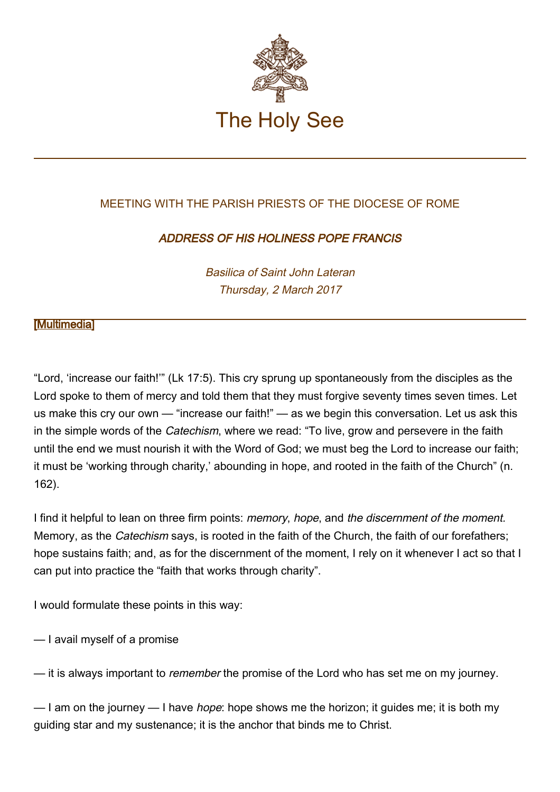

# MEETING WITH THE PARISH PRIESTS OF THE DIOCESE OF ROME

# ADDRESS OF HIS HOLINESS POPE FRANCIS

Basilica of Saint John Lateran Thursday, 2 March 2017

## **Multimedial**

"Lord, 'increase our faith!'" (Lk 17:5). This cry sprung up spontaneously from the disciples as the Lord spoke to them of mercy and told them that they must forgive seventy times seven times. Let us make this cry our own — "increase our faith!" — as we begin this conversation. Let us ask this in the simple words of the *Catechism*, where we read: "To live, grow and persevere in the faith until the end we must nourish it with the Word of God; we must beg the Lord to increase our faith; it must be 'working through charity,' abounding in hope, and rooted in the faith of the Church" (n. 162).

I find it helpful to lean on three firm points: memory, hope, and the discernment of the moment. Memory, as the Catechism says, is rooted in the faith of the Church, the faith of our forefathers; hope sustains faith; and, as for the discernment of the moment, I rely on it whenever I act so that I can put into practice the "faith that works through charity".

I would formulate these points in this way:

— I avail myself of a promise

— it is always important to *remember* the promise of the Lord who has set me on my journey.

— I am on the journey — I have *hope*: hope shows me the horizon; it guides me; it is both my guiding star and my sustenance; it is the anchor that binds me to Christ.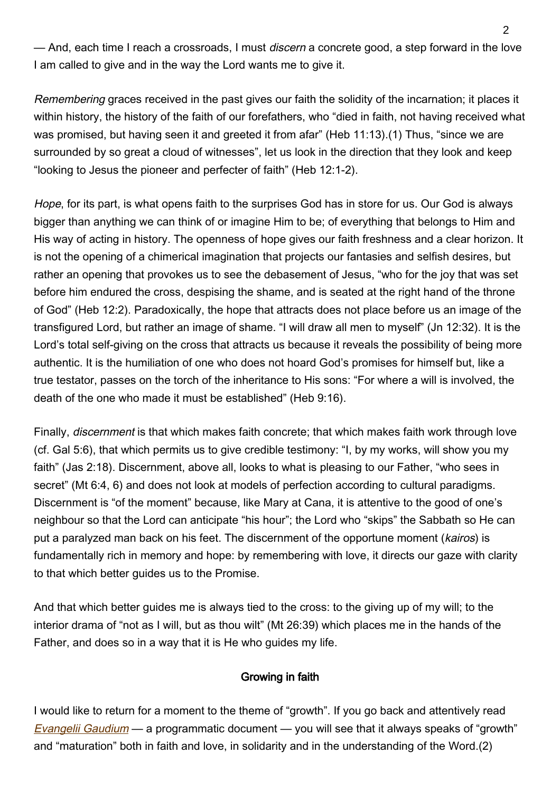— And, each time I reach a crossroads, I must discern a concrete good, a step forward in the love I am called to give and in the way the Lord wants me to give it.

Remembering graces received in the past gives our faith the solidity of the incarnation; it places it within history, the history of the faith of our forefathers, who "died in faith, not having received what was promised, but having seen it and greeted it from afar" (Heb 11:13). (1) Thus, "since we are surrounded by so great a cloud of witnesses", let us look in the direction that they look and keep "looking to Jesus the pioneer and perfecter of faith" (Heb 12:1-2).

Hope, for its part, is what opens faith to the surprises God has in store for us. Our God is always bigger than anything we can think of or imagine Him to be; of everything that belongs to Him and His way of acting in history. The openness of hope gives our faith freshness and a clear horizon. It is not the opening of a chimerical imagination that projects our fantasies and selfish desires, but rather an opening that provokes us to see the debasement of Jesus, "who for the joy that was set before him endured the cross, despising the shame, and is seated at the right hand of the throne of God" (Heb 12:2). Paradoxically, the hope that attracts does not place before us an image of the transfigured Lord, but rather an image of shame. "I will draw all men to myself" (Jn 12:32). It is the Lord's total self-giving on the cross that attracts us because it reveals the possibility of being more authentic. It is the humiliation of one who does not hoard God's promises for himself but, like a true testator, passes on the torch of the inheritance to His sons: "For where a will is involved, the death of the one who made it must be established" (Heb 9:16).

Finally, discernment is that which makes faith concrete; that which makes faith work through love (cf. Gal 5:6), that which permits us to give credible testimony: "I, by my works, will show you my faith" (Jas 2:18). Discernment, above all, looks to what is pleasing to our Father, "who sees in secret" (Mt 6:4, 6) and does not look at models of perfection according to cultural paradigms. Discernment is "of the moment" because, like Mary at Cana, it is attentive to the good of one's neighbour so that the Lord can anticipate "his hour"; the Lord who "skips" the Sabbath so He can put a paralyzed man back on his feet. The discernment of the opportune moment (kairos) is fundamentally rich in memory and hope: by remembering with love, it directs our gaze with clarity to that which better guides us to the Promise.

And that which better guides me is always tied to the cross: to the giving up of my will; to the interior drama of "not as I will, but as thou wilt" (Mt 26:39) which places me in the hands of the Father, and does so in a way that it is He who guides my life.

### Growing in faith

I would like to return for a moment to the theme of "growth". If you go back and attentively read [Evangelii Gaudium](http://w2.vatican.va/content/francesco/en/apost_exhortations/documents/papa-francesco_esortazione-ap_20131124_evangelii-gaudium.html) — a programmatic document — you will see that it always speaks of "growth" and "maturation" both in faith and love, in solidarity and in the understanding of the Word.(2)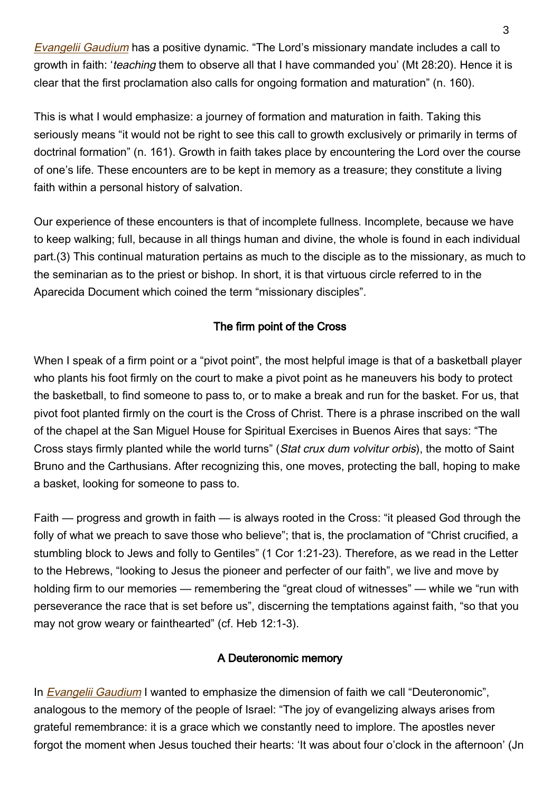[Evangelii Gaudium](http://w2.vatican.va/content/francesco/en/apost_exhortations/documents/papa-francesco_esortazione-ap_20131124_evangelii-gaudium.html) has a positive dynamic. "The Lord's missionary mandate includes a call to growth in faith: 'teaching them to observe all that I have commanded you' (Mt 28:20). Hence it is clear that the first proclamation also calls for ongoing formation and maturation" (n. 160).

This is what I would emphasize: a journey of formation and maturation in faith. Taking this seriously means "it would not be right to see this call to growth exclusively or primarily in terms of doctrinal formation" (n. 161). Growth in faith takes place by encountering the Lord over the course of one's life. These encounters are to be kept in memory as a treasure; they constitute a living faith within a personal history of salvation.

Our experience of these encounters is that of incomplete fullness. Incomplete, because we have to keep walking; full, because in all things human and divine, the whole is found in each individual part.(3) This continual maturation pertains as much to the disciple as to the missionary, as much to the seminarian as to the priest or bishop. In short, it is that virtuous circle referred to in the Aparecida Document which coined the term "missionary disciples".

## The firm point of the Cross

When I speak of a firm point or a "pivot point", the most helpful image is that of a basketball player who plants his foot firmly on the court to make a pivot point as he maneuvers his body to protect the basketball, to find someone to pass to, or to make a break and run for the basket. For us, that pivot foot planted firmly on the court is the Cross of Christ. There is a phrase inscribed on the wall of the chapel at the San Miguel House for Spiritual Exercises in Buenos Aires that says: "The Cross stays firmly planted while the world turns" (Stat crux dum volvitur orbis), the motto of Saint Bruno and the Carthusians. After recognizing this, one moves, protecting the ball, hoping to make a basket, looking for someone to pass to.

Faith — progress and growth in faith — is always rooted in the Cross: "it pleased God through the folly of what we preach to save those who believe"; that is, the proclamation of "Christ crucified, a stumbling block to Jews and folly to Gentiles" (1 Cor 1:21-23). Therefore, as we read in the Letter to the Hebrews, "looking to Jesus the pioneer and perfecter of our faith", we live and move by holding firm to our memories — remembering the "great cloud of witnesses" — while we "run with perseverance the race that is set before us", discerning the temptations against faith, "so that you may not grow weary or fainthearted" (cf. Heb 12:1-3).

### A Deuteronomic memory

In *[Evangelii Gaudium](http://w2.vatican.va/content/francesco/en/apost_exhortations/documents/papa-francesco_esortazione-ap_20131124_evangelii-gaudium.html)* I wanted to emphasize the dimension of faith we call "Deuteronomic", analogous to the memory of the people of Israel: "The joy of evangelizing always arises from grateful remembrance: it is a grace which we constantly need to implore. The apostles never forgot the moment when Jesus touched their hearts: 'It was about four o'clock in the afternoon' (Jn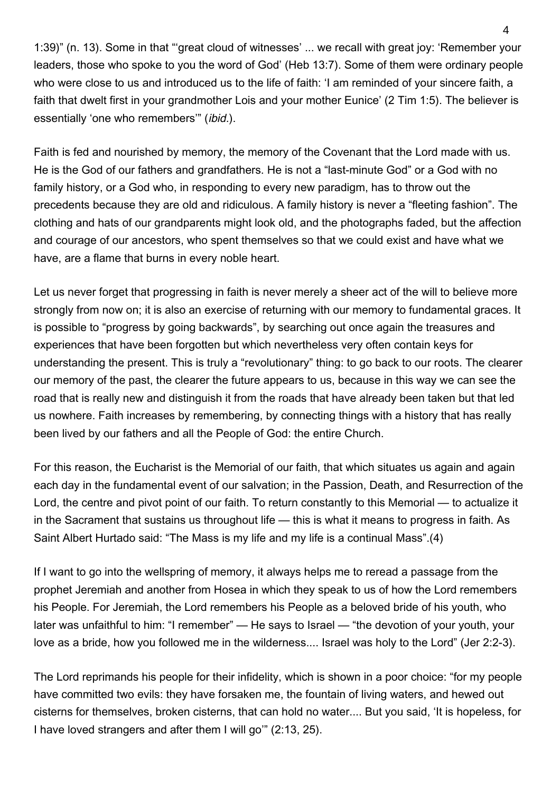1:39)" (n. 13). Some in that "'great cloud of witnesses' ... we recall with great joy: 'Remember your leaders, those who spoke to you the word of God' (Heb 13:7). Some of them were ordinary people who were close to us and introduced us to the life of faith: 'I am reminded of your sincere faith, a faith that dwelt first in your grandmother Lois and your mother Eunice' (2 Tim 1:5). The believer is essentially 'one who remembers" (ibid.).

Faith is fed and nourished by memory, the memory of the Covenant that the Lord made with us. He is the God of our fathers and grandfathers. He is not a "last-minute God" or a God with no family history, or a God who, in responding to every new paradigm, has to throw out the precedents because they are old and ridiculous. A family history is never a "fleeting fashion". The clothing and hats of our grandparents might look old, and the photographs faded, but the affection and courage of our ancestors, who spent themselves so that we could exist and have what we have, are a flame that burns in every noble heart.

Let us never forget that progressing in faith is never merely a sheer act of the will to believe more strongly from now on; it is also an exercise of returning with our memory to fundamental graces. It is possible to "progress by going backwards", by searching out once again the treasures and experiences that have been forgotten but which nevertheless very often contain keys for understanding the present. This is truly a "revolutionary" thing: to go back to our roots. The clearer our memory of the past, the clearer the future appears to us, because in this way we can see the road that is really new and distinguish it from the roads that have already been taken but that led us nowhere. Faith increases by remembering, by connecting things with a history that has really been lived by our fathers and all the People of God: the entire Church.

For this reason, the Eucharist is the Memorial of our faith, that which situates us again and again each day in the fundamental event of our salvation; in the Passion, Death, and Resurrection of the Lord, the centre and pivot point of our faith. To return constantly to this Memorial — to actualize it in the Sacrament that sustains us throughout life — this is what it means to progress in faith. As Saint Albert Hurtado said: "The Mass is my life and my life is a continual Mass".(4)

If I want to go into the wellspring of memory, it always helps me to reread a passage from the prophet Jeremiah and another from Hosea in which they speak to us of how the Lord remembers his People. For Jeremiah, the Lord remembers his People as a beloved bride of his youth, who later was unfaithful to him: "I remember" — He says to Israel — "the devotion of your youth, your love as a bride, how you followed me in the wilderness.... Israel was holy to the Lord" (Jer 2:2-3).

The Lord reprimands his people for their infidelity, which is shown in a poor choice: "for my people have committed two evils: they have forsaken me, the fountain of living waters, and hewed out cisterns for themselves, broken cisterns, that can hold no water.... But you said, 'It is hopeless, for I have loved strangers and after them I will go'" (2:13, 25).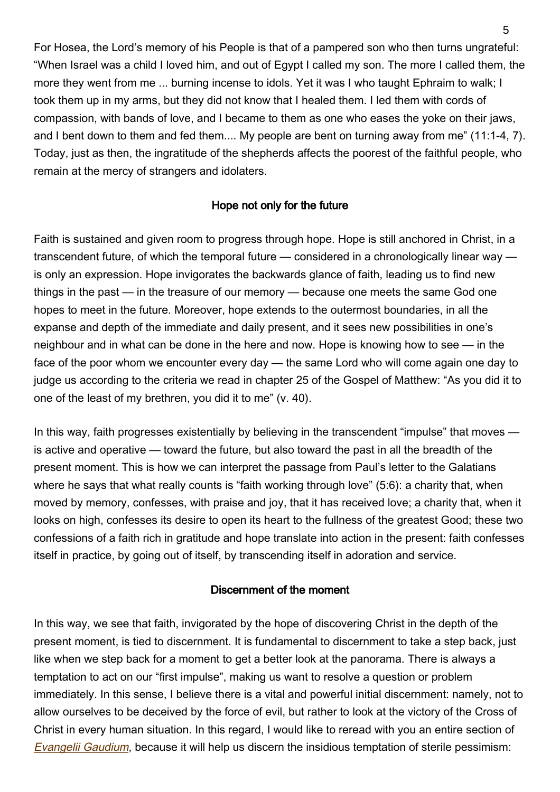For Hosea, the Lord's memory of his People is that of a pampered son who then turns ungrateful: "When Israel was a child I loved him, and out of Egypt I called my son. The more I called them, the more they went from me ... burning incense to idols. Yet it was I who taught Ephraim to walk; I took them up in my arms, but they did not know that I healed them. I led them with cords of compassion, with bands of love, and I became to them as one who eases the yoke on their jaws, and I bent down to them and fed them.... My people are bent on turning away from me" (11:1-4, 7). Today, just as then, the ingratitude of the shepherds affects the poorest of the faithful people, who remain at the mercy of strangers and idolaters.

## Hope not only for the future

Faith is sustained and given room to progress through hope. Hope is still anchored in Christ, in a transcendent future, of which the temporal future — considered in a chronologically linear way is only an expression. Hope invigorates the backwards glance of faith, leading us to find new things in the past — in the treasure of our memory — because one meets the same God one hopes to meet in the future. Moreover, hope extends to the outermost boundaries, in all the expanse and depth of the immediate and daily present, and it sees new possibilities in one's neighbour and in what can be done in the here and now. Hope is knowing how to see — in the face of the poor whom we encounter every day — the same Lord who will come again one day to judge us according to the criteria we read in chapter 25 of the Gospel of Matthew: "As you did it to one of the least of my brethren, you did it to me" (v. 40).

In this way, faith progresses existentially by believing in the transcendent "impulse" that moves is active and operative — toward the future, but also toward the past in all the breadth of the present moment. This is how we can interpret the passage from Paul's letter to the Galatians where he says that what really counts is "faith working through love" (5:6): a charity that, when moved by memory, confesses, with praise and joy, that it has received love; a charity that, when it looks on high, confesses its desire to open its heart to the fullness of the greatest Good; these two confessions of a faith rich in gratitude and hope translate into action in the present: faith confesses itself in practice, by going out of itself, by transcending itself in adoration and service.

### Discernment of the moment

In this way, we see that faith, invigorated by the hope of discovering Christ in the depth of the present moment, is tied to discernment. It is fundamental to discernment to take a step back, just like when we step back for a moment to get a better look at the panorama. There is always a temptation to act on our "first impulse", making us want to resolve a question or problem immediately. In this sense, I believe there is a vital and powerful initial discernment: namely, not to allow ourselves to be deceived by the force of evil, but rather to look at the victory of the Cross of Christ in every human situation. In this regard, I would like to reread with you an entire section of [Evangelii Gaudium](http://w2.vatican.va/content/francesco/en/apost_exhortations/documents/papa-francesco_esortazione-ap_20131124_evangelii-gaudium.html), because it will help us discern the insidious temptation of sterile pessimism: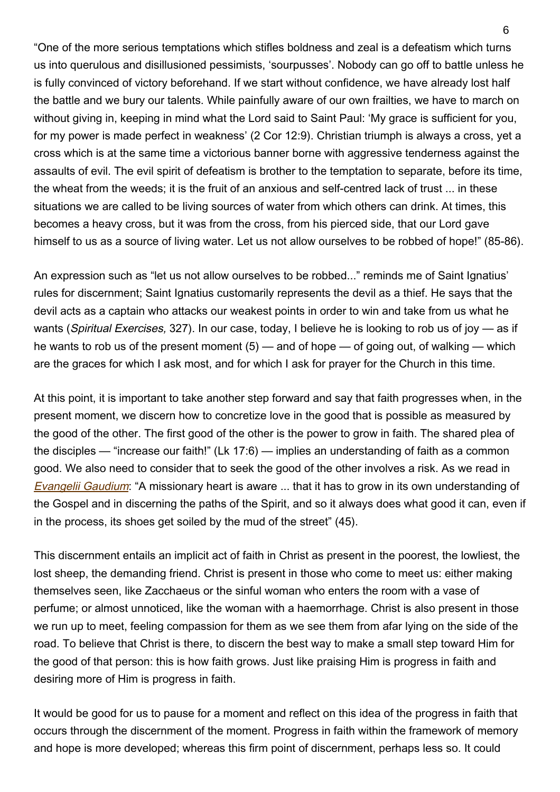"One of the more serious temptations which stifles boldness and zeal is a defeatism which turns us into querulous and disillusioned pessimists, 'sourpusses'. Nobody can go off to battle unless he is fully convinced of victory beforehand. If we start without confidence, we have already lost half the battle and we bury our talents. While painfully aware of our own frailties, we have to march on without giving in, keeping in mind what the Lord said to Saint Paul: 'My grace is sufficient for you, for my power is made perfect in weakness' (2 Cor 12:9). Christian triumph is always a cross, yet a cross which is at the same time a victorious banner borne with aggressive tenderness against the assaults of evil. The evil spirit of defeatism is brother to the temptation to separate, before its time, the wheat from the weeds; it is the fruit of an anxious and self-centred lack of trust ... in these situations we are called to be living sources of water from which others can drink. At times, this becomes a heavy cross, but it was from the cross, from his pierced side, that our Lord gave himself to us as a source of living water. Let us not allow ourselves to be robbed of hope!" (85-86).

An expression such as "let us not allow ourselves to be robbed..." reminds me of Saint Ignatius' rules for discernment: Saint Ignatius customarily represents the devil as a thief. He says that the devil acts as a captain who attacks our weakest points in order to win and take from us what he wants (Spiritual Exercises, 327). In our case, today, I believe he is looking to rob us of joy — as if he wants to rob us of the present moment  $(5)$  — and of hope — of going out, of walking — which are the graces for which I ask most, and for which I ask for prayer for the Church in this time.

At this point, it is important to take another step forward and say that faith progresses when, in the present moment, we discern how to concretize love in the good that is possible as measured by the good of the other. The first good of the other is the power to grow in faith. The shared plea of the disciples — "increase our faith!" (Lk 17:6) — implies an understanding of faith as a common good. We also need to consider that to seek the good of the other involves a risk. As we read in **[Evangelii Gaudium](http://w2.vatican.va/content/francesco/en/apost_exhortations/documents/papa-francesco_esortazione-ap_20131124_evangelii-gaudium.html):** "A missionary heart is aware ... that it has to grow in its own understanding of the Gospel and in discerning the paths of the Spirit, and so it always does what good it can, even if in the process, its shoes get soiled by the mud of the street" (45).

This discernment entails an implicit act of faith in Christ as present in the poorest, the lowliest, the lost sheep, the demanding friend. Christ is present in those who come to meet us: either making themselves seen, like Zacchaeus or the sinful woman who enters the room with a vase of perfume; or almost unnoticed, like the woman with a haemorrhage. Christ is also present in those we run up to meet, feeling compassion for them as we see them from afar lying on the side of the road. To believe that Christ is there, to discern the best way to make a small step toward Him for the good of that person: this is how faith grows. Just like praising Him is progress in faith and desiring more of Him is progress in faith.

It would be good for us to pause for a moment and reflect on this idea of the progress in faith that occurs through the discernment of the moment. Progress in faith within the framework of memory and hope is more developed; whereas this firm point of discernment, perhaps less so. It could